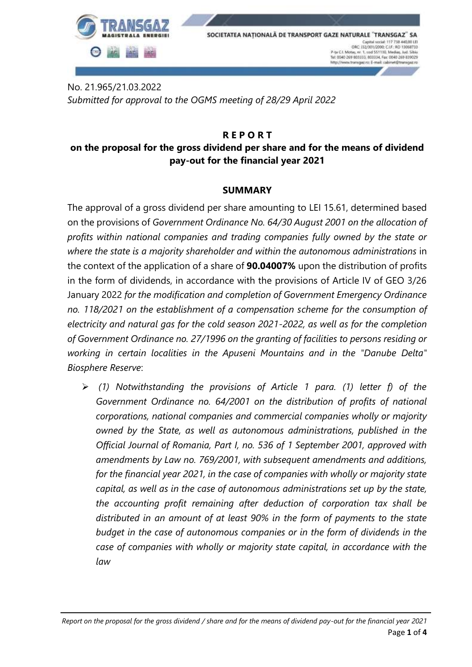

No. 21.965/21.03.2022 *Submitted for approval to the OGMS meeting of 28/29 April 2022*

#### **R E P O R T**

## **on the proposal for the gross dividend per share and for the means of dividend pay-out for the financial year 2021**

### **SUMMARY**

The approval of a gross dividend per share amounting to LEI 15.61, determined based on the provisions of *Government Ordinance No. 64/30 August 2001 on the allocation of profits within national companies and trading companies fully owned by the state or where the state is a majority shareholder and within the autonomous administrations* in the context of the application of a share of **90.04007%** upon the distribution of profits in the form of dividends, in accordance with the provisions of Article IV of GEO 3/26 January 2022 *for the modification and completion of Government Emergency Ordinance no. 118/2021 on the establishment of a compensation scheme for the consumption of electricity and natural gas for the cold season 2021-2022, as well as for the completion of Government Ordinance no. 27/1996 on the granting of facilities to persons residing or working in certain localities in the Apuseni Mountains and in the "Danube Delta" Biosphere Reserve*:

 *(1) Notwithstanding the provisions of Article 1 para. (1) letter f) of the Government Ordinance no. 64/2001 on the distribution of profits of national corporations, national companies and commercial companies wholly or majority owned by the State, as well as autonomous administrations, published in the Official Journal of Romania, Part I, no. 536 of 1 September 2001, approved with amendments by Law no. 769/2001, with subsequent amendments and additions, for the financial year 2021, in the case of companies with wholly or majority state capital, as well as in the case of autonomous administrations set up by the state, the accounting profit remaining after deduction of corporation tax shall be distributed in an amount of at least 90% in the form of payments to the state budget in the case of autonomous companies or in the form of dividends in the case of companies with wholly or majority state capital, in accordance with the law*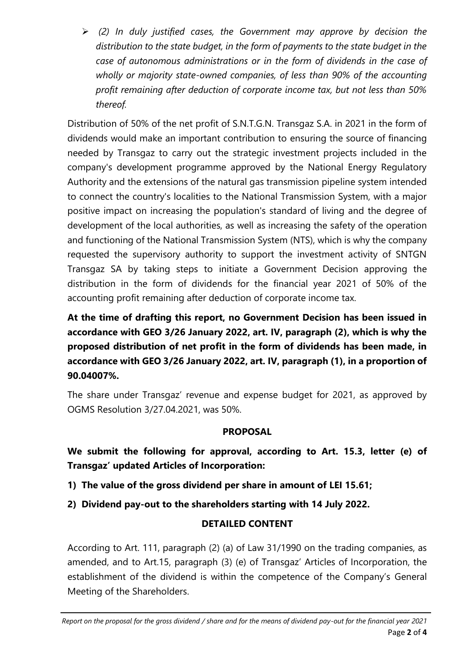*(2) In duly justified cases, the Government may approve by decision the distribution to the state budget, in the form of payments to the state budget in the case of autonomous administrations or in the form of dividends in the case of wholly or majority state-owned companies, of less than 90% of the accounting profit remaining after deduction of corporate income tax, but not less than 50% thereof.*

Distribution of 50% of the net profit of S.N.T.G.N. Transgaz S.A. in 2021 in the form of dividends would make an important contribution to ensuring the source of financing needed by Transgaz to carry out the strategic investment projects included in the company's development programme approved by the National Energy Regulatory Authority and the extensions of the natural gas transmission pipeline system intended to connect the country's localities to the National Transmission System, with a major positive impact on increasing the population's standard of living and the degree of development of the local authorities, as well as increasing the safety of the operation and functioning of the National Transmission System (NTS), which is why the company requested the supervisory authority to support the investment activity of SNTGN Transgaz SA by taking steps to initiate a Government Decision approving the distribution in the form of dividends for the financial year 2021 of 50% of the accounting profit remaining after deduction of corporate income tax.

**At the time of drafting this report, no Government Decision has been issued in accordance with GEO 3/26 January 2022, art. IV, paragraph (2), which is why the proposed distribution of net profit in the form of dividends has been made, in accordance with GEO 3/26 January 2022, art. IV, paragraph (1), in a proportion of 90.04007%.**

The share under Transgaz' revenue and expense budget for 2021, as approved by OGMS Resolution 3/27.04.2021, was 50%.

## **PROPOSAL**

**We submit the following for approval, according to Art. 15.3, letter (e) of Transgaz' updated Articles of Incorporation:**

- **1) The value of the gross dividend per share in amount of LEI 15.61;**
- **2) Dividend pay-out to the shareholders starting with 14 July 2022.**

## **DETAILED CONTENT**

According to Art. 111, paragraph (2) (a) of Law 31/1990 on the trading companies, as amended, and to Art.15, paragraph (3) (e) of Transgaz' Articles of Incorporation, the establishment of the dividend is within the competence of the Company's General Meeting of the Shareholders.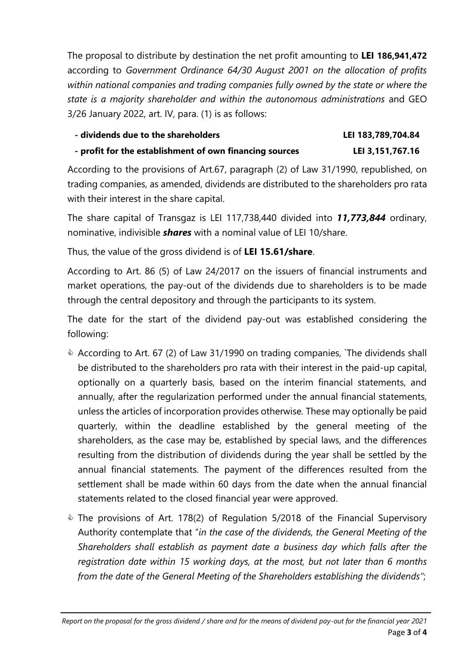The proposal to distribute by destination the net profit amounting to **LEI 186,941,472**  according to *Government Ordinance 64/30 August 2001 on the allocation of profits within national companies and trading companies fully owned by the state or where the state is a majority shareholder and within the autonomous administrations* and GEO 3/26 January 2022, art. IV, para. (1) is as follows:

# **- dividends due to the shareholders LEI 183,789,704.84**

```
- profit for the establishment of own financing sources LEI 3,151,767.16
```
According to the provisions of Art.67, paragraph (2) of Law 31/1990, republished, on trading companies, as amended, dividends are distributed to the shareholders pro rata with their interest in the share capital.

The share capital of Transgaz is LEI 117,738,440 divided into *11,773,844* ordinary, nominative, indivisible *shares* with a nominal value of LEI 10/share.

Thus, the value of the gross dividend is of **LEI 15.61/share**.

According to Art. 86 (5) of Law 24/2017 on the issuers of financial instruments and market operations, the pay-out of the dividends due to shareholders is to be made through the central depository and through the participants to its system.

The date for the start of the dividend pay-out was established considering the following:

- According to Art. 67 (2) of Law 31/1990 on trading companies, `The dividends shall be distributed to the shareholders pro rata with their interest in the paid-up capital, optionally on a quarterly basis, based on the interim financial statements, and annually, after the regularization performed under the annual financial statements, unless the articles of incorporation provides otherwise*.* These may optionally be paid quarterly, within the deadline established by the general meeting of the shareholders, as the case may be, established by special laws, and the differences resulting from the distribution of dividends during the year shall be settled by the annual financial statements. The payment of the differences resulted from the settlement shall be made within 60 days from the date when the annual financial statements related to the closed financial year were approved.
- **EXTHE provisions of Art. 178(2) of Regulation 5/2018 of the Financial Supervisory** Authority contemplate that "*in the case of the dividends, the General Meeting of the Shareholders shall establish as payment date a business day which falls after the registration date within 15 working days, at the most, but not later than 6 months from the date of the General Meeting of the Shareholders establishing the dividends"*;

*Report on the proposal for the gross dividend / share and for the means of dividend pay-out for the financial year 2021* Page **3** of **4**